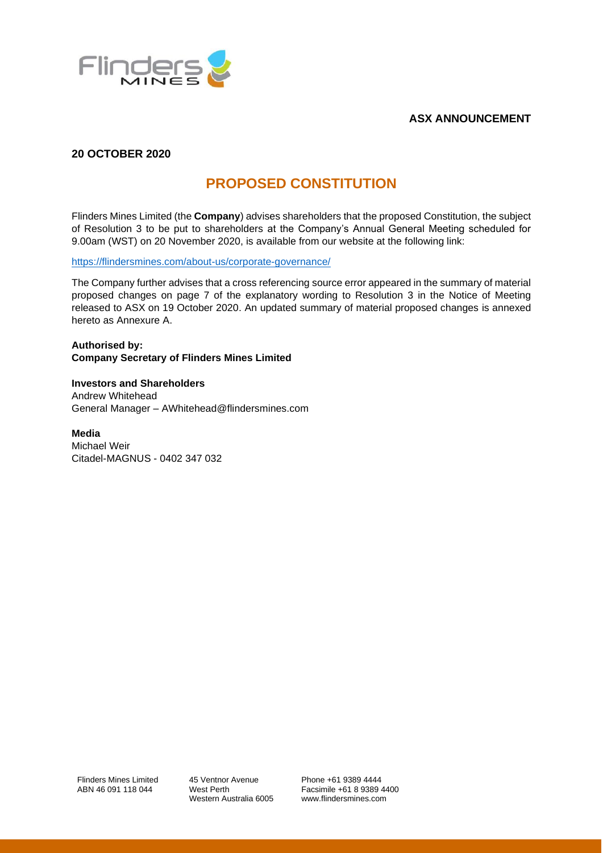

# **ASX ANNOUNCEMENT**

# **20 OCTOBER 2020**

# **PROPOSED CONSTITUTION**

Flinders Mines Limited (the **Company**) advises shareholders that the proposed Constitution, the subject of Resolution 3 to be put to shareholders at the Company's Annual General Meeting scheduled for 9.00am (WST) on 20 November 2020, is available from our website at the following link:

<https://flindersmines.com/about-us/corporate-governance/>

The Company further advises that a cross referencing source error appeared in the summary of material proposed changes on page 7 of the explanatory wording to Resolution 3 in the Notice of Meeting released to ASX on 19 October 2020. An updated summary of material proposed changes is annexed hereto as Annexure A.

**Authorised by: Company Secretary of Flinders Mines Limited**

**Investors and Shareholders** Andrew Whitehead General Manager – AWhitehead@flindersmines.com

**Media** 

Michael Weir Citadel-MAGNUS - 0402 347 032

Flinders Mines Limited ABN 46 091 118 044

45 Ventnor Avenue West Perth Western Australia 6005

Phone +61 9389 4444 Facsimile +61 8 9389 4400 www.flindersmines.com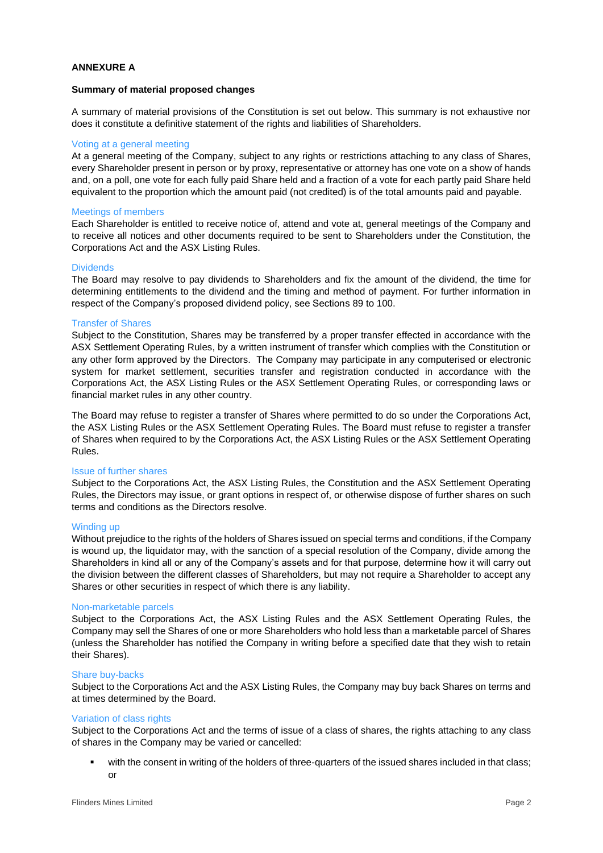# **ANNEXURE A**

## **Summary of material proposed changes**

A summary of material provisions of the Constitution is set out below. This summary is not exhaustive nor does it constitute a definitive statement of the rights and liabilities of Shareholders.

# Voting at a general meeting

At a general meeting of the Company, subject to any rights or restrictions attaching to any class of Shares, every Shareholder present in person or by proxy, representative or attorney has one vote on a show of hands and, on a poll, one vote for each fully paid Share held and a fraction of a vote for each partly paid Share held equivalent to the proportion which the amount paid (not credited) is of the total amounts paid and payable.

# Meetings of members

Each Shareholder is entitled to receive notice of, attend and vote at, general meetings of the Company and to receive all notices and other documents required to be sent to Shareholders under the Constitution, the Corporations Act and the ASX Listing Rules.

# **Dividends**

The Board may resolve to pay dividends to Shareholders and fix the amount of the dividend, the time for determining entitlements to the dividend and the timing and method of payment. For further information in respect of the Company's proposed dividend policy, see Sections 89 to 100.

#### Transfer of Shares

Subject to the Constitution, Shares may be transferred by a proper transfer effected in accordance with the ASX Settlement Operating Rules, by a written instrument of transfer which complies with the Constitution or any other form approved by the Directors. The Company may participate in any computerised or electronic system for market settlement, securities transfer and registration conducted in accordance with the Corporations Act, the ASX Listing Rules or the ASX Settlement Operating Rules, or corresponding laws or financial market rules in any other country.

The Board may refuse to register a transfer of Shares where permitted to do so under the Corporations Act, the ASX Listing Rules or the ASX Settlement Operating Rules. The Board must refuse to register a transfer of Shares when required to by the Corporations Act, the ASX Listing Rules or the ASX Settlement Operating Rules.

#### Issue of further shares

Subject to the Corporations Act, the ASX Listing Rules, the Constitution and the ASX Settlement Operating Rules, the Directors may issue, or grant options in respect of, or otherwise dispose of further shares on such terms and conditions as the Directors resolve.

#### Winding up

Without prejudice to the rights of the holders of Shares issued on special terms and conditions, if the Company is wound up, the liquidator may, with the sanction of a special resolution of the Company, divide among the Shareholders in kind all or any of the Company's assets and for that purpose, determine how it will carry out the division between the different classes of Shareholders, but may not require a Shareholder to accept any Shares or other securities in respect of which there is any liability.

#### Non-marketable parcels

Subject to the Corporations Act, the ASX Listing Rules and the ASX Settlement Operating Rules, the Company may sell the Shares of one or more Shareholders who hold less than a marketable parcel of Shares (unless the Shareholder has notified the Company in writing before a specified date that they wish to retain their Shares).

### Share buy-backs

Subject to the Corporations Act and the ASX Listing Rules, the Company may buy back Shares on terms and at times determined by the Board.

#### Variation of class rights

Subject to the Corporations Act and the terms of issue of a class of shares, the rights attaching to any class of shares in the Company may be varied or cancelled:

with the consent in writing of the holders of three-quarters of the issued shares included in that class; or